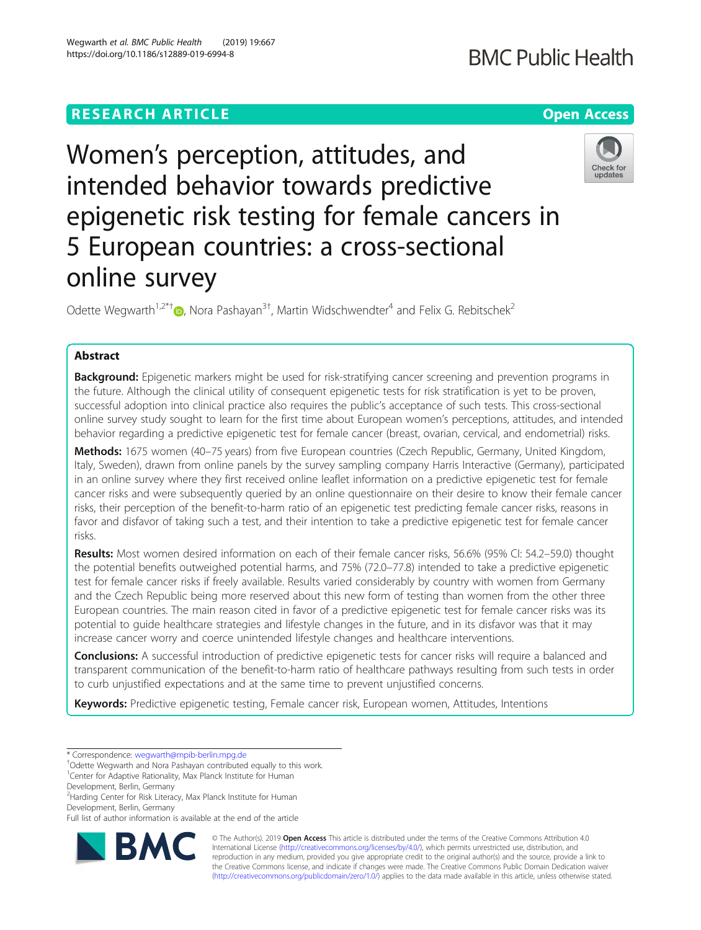## **RESEARCH ARTICLE Example 2018 12:30 THE OPEN ACCESS**

# Women's perception, attitudes, and intended behavior towards predictive epigenetic risk testing for female cancers in 5 European countries: a cross-sectional online survey

Odette Wegwarth<sup>1,2\*[†](http://orcid.org/0000-0003-0885-2673)</sup> $\bullet$ , Nora Pashayan<sup>3†</sup>, Martin Widschwendter<sup>4</sup> and Felix G. Rebitschek<sup>2</sup>

## Abstract

Background: Epigenetic markers might be used for risk-stratifying cancer screening and prevention programs in the future. Although the clinical utility of consequent epigenetic tests for risk stratification is yet to be proven, successful adoption into clinical practice also requires the public's acceptance of such tests. This cross-sectional online survey study sought to learn for the first time about European women's perceptions, attitudes, and intended behavior regarding a predictive epigenetic test for female cancer (breast, ovarian, cervical, and endometrial) risks.

Methods: 1675 women (40–75 years) from five European countries (Czech Republic, Germany, United Kingdom, Italy, Sweden), drawn from online panels by the survey sampling company Harris Interactive (Germany), participated in an online survey where they first received online leaflet information on a predictive epigenetic test for female cancer risks and were subsequently queried by an online questionnaire on their desire to know their female cancer risks, their perception of the benefit-to-harm ratio of an epigenetic test predicting female cancer risks, reasons in favor and disfavor of taking such a test, and their intention to take a predictive epigenetic test for female cancer risks.

Results: Most women desired information on each of their female cancer risks, 56.6% (95% CI: 54.2–59.0) thought the potential benefits outweighed potential harms, and 75% (72.0–77.8) intended to take a predictive epigenetic test for female cancer risks if freely available. Results varied considerably by country with women from Germany and the Czech Republic being more reserved about this new form of testing than women from the other three European countries. The main reason cited in favor of a predictive epigenetic test for female cancer risks was its potential to guide healthcare strategies and lifestyle changes in the future, and in its disfavor was that it may increase cancer worry and coerce unintended lifestyle changes and healthcare interventions.

Conclusions: A successful introduction of predictive epigenetic tests for cancer risks will require a balanced and transparent communication of the benefit-to-harm ratio of healthcare pathways resulting from such tests in order to curb unjustified expectations and at the same time to prevent unjustified concerns.

Keywords: Predictive epigenetic testing, Female cancer risk, European women, Attitudes, Intentions

Development, Berlin, Germany

<sup>2</sup> Harding Center for Risk Literacy, Max Planck Institute for Human Development, Berlin, Germany

Full list of author information is available at the end of the article



© The Author(s). 2019 **Open Access** This article is distributed under the terms of the Creative Commons Attribution 4.0 International License [\(http://creativecommons.org/licenses/by/4.0/](http://creativecommons.org/licenses/by/4.0/)), which permits unrestricted use, distribution, and reproduction in any medium, provided you give appropriate credit to the original author(s) and the source, provide a link to the Creative Commons license, and indicate if changes were made. The Creative Commons Public Domain Dedication waiver [\(http://creativecommons.org/publicdomain/zero/1.0/](http://creativecommons.org/publicdomain/zero/1.0/)) applies to the data made available in this article, unless otherwise stated.







<sup>\*</sup> Correspondence: [wegwarth@mpib-berlin.mpg.de](mailto:wegwarth@mpib-berlin.mpg.de) †

Odette Wegwarth and Nora Pashayan contributed equally to this work.

<sup>&</sup>lt;sup>1</sup> Center for Adaptive Rationality, Max Planck Institute for Human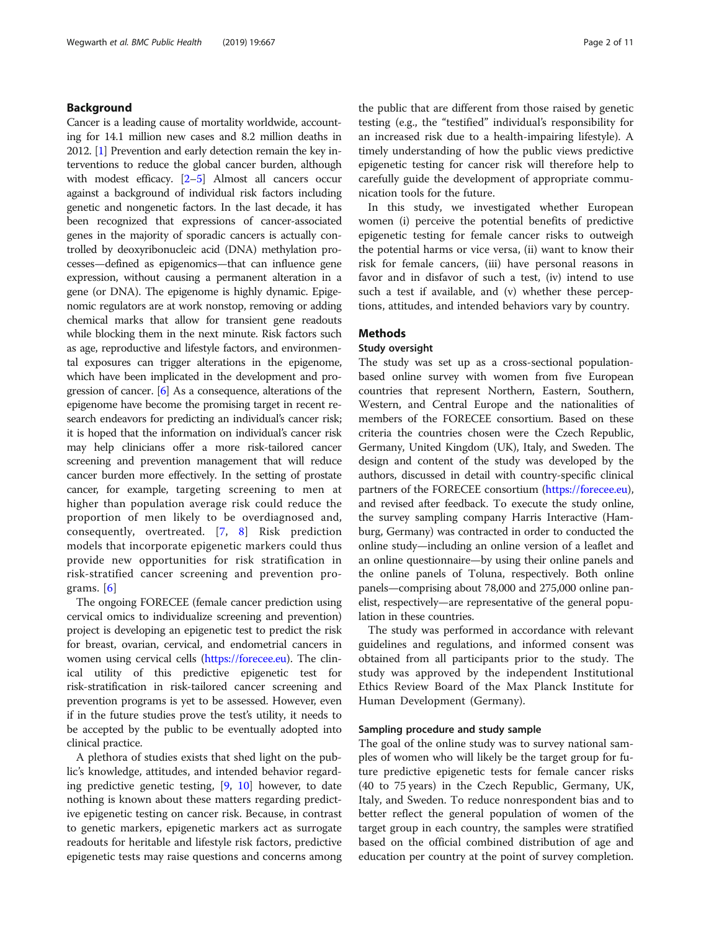## Background

Cancer is a leading cause of mortality worldwide, accounting for 14.1 million new cases and 8.2 million deaths in 2012. [[1](#page-9-0)] Prevention and early detection remain the key interventions to reduce the global cancer burden, although with modest efficacy. [[2](#page-9-0)–[5\]](#page-9-0) Almost all cancers occur against a background of individual risk factors including genetic and nongenetic factors. In the last decade, it has been recognized that expressions of cancer-associated genes in the majority of sporadic cancers is actually controlled by deoxyribonucleic acid (DNA) methylation processes—defined as epigenomics—that can influence gene expression, without causing a permanent alteration in a gene (or DNA). The epigenome is highly dynamic. Epigenomic regulators are at work nonstop, removing or adding chemical marks that allow for transient gene readouts while blocking them in the next minute. Risk factors such as age, reproductive and lifestyle factors, and environmental exposures can trigger alterations in the epigenome, which have been implicated in the development and progression of cancer. [\[6](#page-9-0)] As a consequence, alterations of the epigenome have become the promising target in recent research endeavors for predicting an individual's cancer risk; it is hoped that the information on individual's cancer risk may help clinicians offer a more risk-tailored cancer screening and prevention management that will reduce cancer burden more effectively. In the setting of prostate cancer, for example, targeting screening to men at higher than population average risk could reduce the proportion of men likely to be overdiagnosed and, consequently, overtreated. [[7,](#page-9-0) [8\]](#page-9-0) Risk prediction models that incorporate epigenetic markers could thus provide new opportunities for risk stratification in risk-stratified cancer screening and prevention programs. [[6](#page-9-0)]

The ongoing FORECEE (female cancer prediction using cervical omics to individualize screening and prevention) project is developing an epigenetic test to predict the risk for breast, ovarian, cervical, and endometrial cancers in women using cervical cells (<https://forecee.eu>). The clinical utility of this predictive epigenetic test for risk-stratification in risk-tailored cancer screening and prevention programs is yet to be assessed. However, even if in the future studies prove the test's utility, it needs to be accepted by the public to be eventually adopted into clinical practice.

A plethora of studies exists that shed light on the public's knowledge, attitudes, and intended behavior regarding predictive genetic testing, [\[9](#page-9-0), [10\]](#page-9-0) however, to date nothing is known about these matters regarding predictive epigenetic testing on cancer risk. Because, in contrast to genetic markers, epigenetic markers act as surrogate readouts for heritable and lifestyle risk factors, predictive epigenetic tests may raise questions and concerns among

the public that are different from those raised by genetic testing (e.g., the "testified" individual's responsibility for an increased risk due to a health-impairing lifestyle). A timely understanding of how the public views predictive epigenetic testing for cancer risk will therefore help to carefully guide the development of appropriate communication tools for the future.

In this study, we investigated whether European women (i) perceive the potential benefits of predictive epigenetic testing for female cancer risks to outweigh the potential harms or vice versa, (ii) want to know their risk for female cancers, (iii) have personal reasons in favor and in disfavor of such a test, (iv) intend to use such a test if available, and (v) whether these perceptions, attitudes, and intended behaviors vary by country.

## Methods

## Study oversight

The study was set up as a cross-sectional populationbased online survey with women from five European countries that represent Northern, Eastern, Southern, Western, and Central Europe and the nationalities of members of the FORECEE consortium. Based on these criteria the countries chosen were the Czech Republic, Germany, United Kingdom (UK), Italy, and Sweden. The design and content of the study was developed by the authors, discussed in detail with country-specific clinical partners of the FORECEE consortium (<https://forecee.eu>), and revised after feedback. To execute the study online, the survey sampling company Harris Interactive (Hamburg, Germany) was contracted in order to conducted the online study—including an online version of a leaflet and an online questionnaire—by using their online panels and the online panels of Toluna, respectively. Both online panels—comprising about 78,000 and 275,000 online panelist, respectively—are representative of the general population in these countries.

The study was performed in accordance with relevant guidelines and regulations, and informed consent was obtained from all participants prior to the study. The study was approved by the independent Institutional Ethics Review Board of the Max Planck Institute for Human Development (Germany).

## Sampling procedure and study sample

The goal of the online study was to survey national samples of women who will likely be the target group for future predictive epigenetic tests for female cancer risks (40 to 75 years) in the Czech Republic, Germany, UK, Italy, and Sweden. To reduce nonrespondent bias and to better reflect the general population of women of the target group in each country, the samples were stratified based on the official combined distribution of age and education per country at the point of survey completion.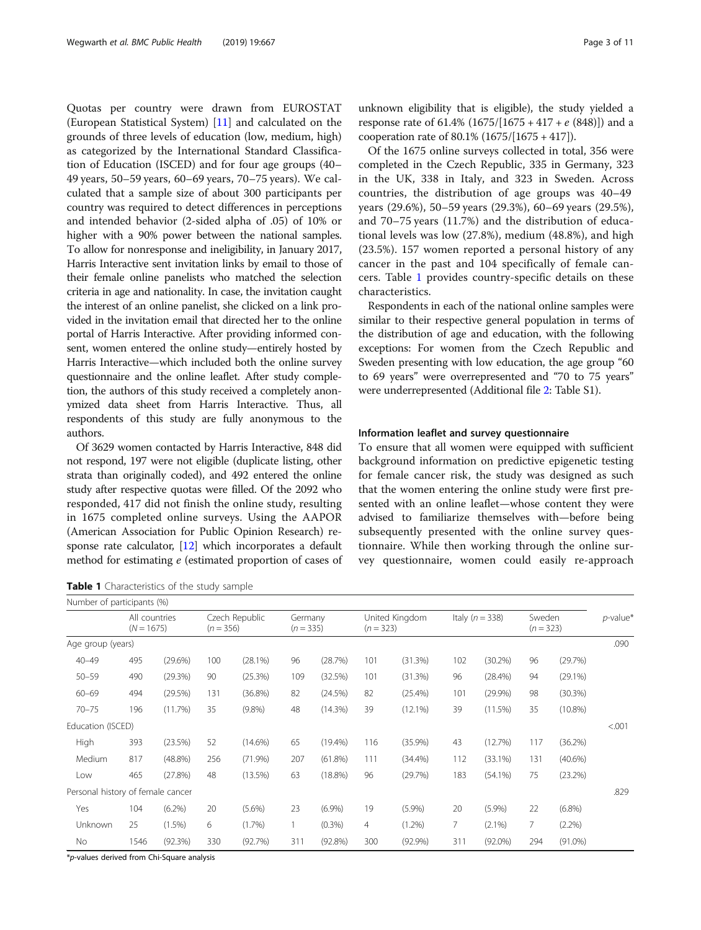Quotas per country were drawn from EUROSTAT (European Statistical System) [\[11\]](#page-9-0) and calculated on the grounds of three levels of education (low, medium, high) as categorized by the International Standard Classification of Education (ISCED) and for four age groups (40– 49 years, 50–59 years, 60–69 years, 70–75 years). We calculated that a sample size of about 300 participants per country was required to detect differences in perceptions and intended behavior (2-sided alpha of .05) of 10% or higher with a 90% power between the national samples. To allow for nonresponse and ineligibility, in January 2017, Harris Interactive sent invitation links by email to those of their female online panelists who matched the selection criteria in age and nationality. In case, the invitation caught the interest of an online panelist, she clicked on a link provided in the invitation email that directed her to the online portal of Harris Interactive. After providing informed consent, women entered the online study—entirely hosted by Harris Interactive—which included both the online survey questionnaire and the online leaflet. After study completion, the authors of this study received a completely anonymized data sheet from Harris Interactive. Thus, all respondents of this study are fully anonymous to the authors.

Of 3629 women contacted by Harris Interactive, 848 did not respond, 197 were not eligible (duplicate listing, other strata than originally coded), and 492 entered the online study after respective quotas were filled. Of the 2092 who responded, 417 did not finish the online study, resulting in 1675 completed online surveys. Using the AAPOR (American Association for Public Opinion Research) response rate calculator, [\[12](#page-9-0)] which incorporates a default method for estimating e (estimated proportion of cases of

Table 1 Characteristics of the study sample

unknown eligibility that is eligible), the study yielded a response rate of 61.4%  $(1675/[1675 + 417 + e (848)])$  and a cooperation rate of 80.1% (1675/[1675 + 417]).

Of the 1675 online surveys collected in total, 356 were completed in the Czech Republic, 335 in Germany, 323 in the UK, 338 in Italy, and 323 in Sweden. Across countries, the distribution of age groups was 40–49 years (29.6%), 50–59 years (29.3%), 60–69 years (29.5%), and 70–75 years (11.7%) and the distribution of educational levels was low (27.8%), medium (48.8%), and high (23.5%). 157 women reported a personal history of any cancer in the past and 104 specifically of female cancers. Table 1 provides country-specific details on these characteristics.

Respondents in each of the national online samples were similar to their respective general population in terms of the distribution of age and education, with the following exceptions: For women from the Czech Republic and Sweden presenting with low education, the age group "60 to 69 years" were overrepresented and "70 to 75 years" were underrepresented (Additional file [2:](#page-9-0) Table S1).

## Information leaflet and survey questionnaire

To ensure that all women were equipped with sufficient background information on predictive epigenetic testing for female cancer risk, the study was designed as such that the women entering the online study were first presented with an online leaflet—whose content they were advised to familiarize themselves with—before being subsequently presented with the online survey questionnaire. While then working through the online survey questionnaire, women could easily re-approach

| Number of participants (%)        |                                                                |            |     |                        |     |                               |                |                   |                |                       |                |             |      |
|-----------------------------------|----------------------------------------------------------------|------------|-----|------------------------|-----|-------------------------------|----------------|-------------------|----------------|-----------------------|----------------|-------------|------|
|                                   | Czech Republic<br>All countries<br>$(N = 1675)$<br>$(n = 356)$ |            |     | Germany<br>$(n = 335)$ |     | United Kingdom<br>$(n = 323)$ |                | Italy $(n = 338)$ |                | Sweden<br>$(n = 323)$ |                | $p$ -value* |      |
| Age group (years)                 |                                                                |            |     |                        |     |                               |                |                   |                |                       |                |             | .090 |
| $40 - 49$                         | 495                                                            | $(29.6\%)$ | 100 | (28.1%)                | 96  | (28.7%)                       | 101            | (31.3%)           | 102            | (30.2%)               | 96             | (29.7%)     |      |
| $50 - 59$                         | 490                                                            | (29.3%)    | 90  | (25.3%)                | 109 | (32.5%)                       | 101            | (31.3%)           | 96             | $(28.4\%)$            | 94             | $(29.1\%)$  |      |
| $60 - 69$                         | 494                                                            | (29.5%)    | 131 | $(36.8\%)$             | 82  | (24.5%)                       | 82             | $(25.4\%)$        | 101            | (29.9%)               | 98             | (30.3%)     |      |
| $70 - 75$                         | 196                                                            | (11.7%)    | 35  | $(9.8\%)$              | 48  | $(14.3\%)$                    | 39             | $(12.1\%)$        | 39             | (11.5%)               | 35             | $(10.8\%)$  |      |
|                                   | Education (ISCED)                                              |            |     |                        |     |                               |                |                   |                |                       | < .001         |             |      |
| High                              | 393                                                            | (23.5%)    | 52  | $(14.6\%)$             | 65  | $(19.4\%)$                    | 116            | $(35.9\%)$        | 43             | (12.7%)               | 117            | (36.2%)     |      |
| Medium                            | 817                                                            | $(48.8\%)$ | 256 | (71.9%)                | 207 | $(61.8\%)$                    | 111            | $(34.4\%)$        | 112            | $(33.1\%)$            | 131            | $(40.6\%)$  |      |
| Low                               | 465                                                            | (27.8%)    | 48  | $(13.5\%)$             | 63  | $(18.8\%)$                    | 96             | (29.7%)           | 183            | $(54.1\%)$            | 75             | (23.2%)     |      |
| Personal history of female cancer |                                                                |            |     |                        |     |                               |                |                   |                |                       |                |             | .829 |
| Yes                               | 104                                                            | $(6.2\%)$  | 20  | $(5.6\%)$              | 23  | $(6.9\%)$                     | 19             | $(5.9\%)$         | 20             | (5.9%)                | 22             | $(6.8\%)$   |      |
| Unknown                           | 25                                                             | $(1.5\%)$  | 6   | (1.7%)                 |     | $(0.3\%)$                     | $\overline{4}$ | $(1.2\%)$         | $\overline{7}$ | $(2.1\%)$             | $\overline{7}$ | (2.2%)      |      |
| No                                | 1546                                                           | (92.3%)    | 330 | (92.7%)                | 311 | (92.8%)                       | 300            | $(92.9\%)$        | 311            | $(92.0\%)$            | 294            | $(91.0\%)$  |      |

\*p-values derived from Chi-Square analysis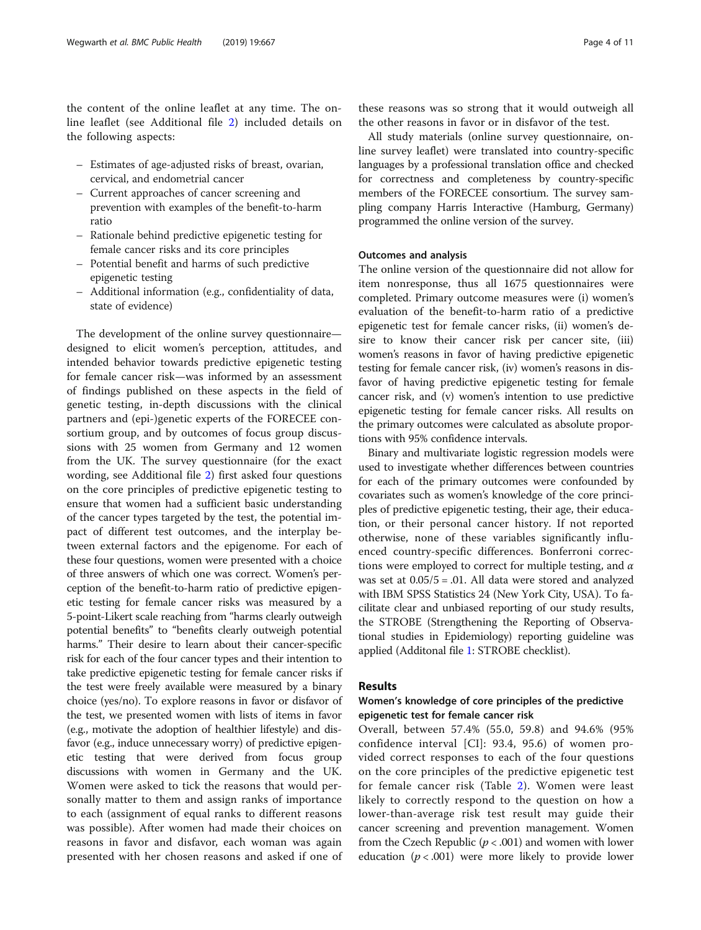the content of the online leaflet at any time. The online leaflet (see Additional file [2](#page-9-0)) included details on the following aspects:

- Estimates of age-adjusted risks of breast, ovarian, cervical, and endometrial cancer
- Current approaches of cancer screening and prevention with examples of the benefit-to-harm ratio
- Rationale behind predictive epigenetic testing for female cancer risks and its core principles
- Potential benefit and harms of such predictive epigenetic testing
- Additional information (e.g., confidentiality of data, state of evidence)

The development of the online survey questionnaire designed to elicit women's perception, attitudes, and intended behavior towards predictive epigenetic testing for female cancer risk—was informed by an assessment of findings published on these aspects in the field of genetic testing, in-depth discussions with the clinical partners and (epi-)genetic experts of the FORECEE consortium group, and by outcomes of focus group discussions with 25 women from Germany and 12 women from the UK. The survey questionnaire (for the exact wording, see Additional file [2](#page-9-0)) first asked four questions on the core principles of predictive epigenetic testing to ensure that women had a sufficient basic understanding of the cancer types targeted by the test, the potential impact of different test outcomes, and the interplay between external factors and the epigenome. For each of these four questions, women were presented with a choice of three answers of which one was correct. Women's perception of the benefit-to-harm ratio of predictive epigenetic testing for female cancer risks was measured by a 5-point-Likert scale reaching from "harms clearly outweigh potential benefits" to "benefits clearly outweigh potential harms." Their desire to learn about their cancer-specific risk for each of the four cancer types and their intention to take predictive epigenetic testing for female cancer risks if the test were freely available were measured by a binary choice (yes/no). To explore reasons in favor or disfavor of the test, we presented women with lists of items in favor (e.g., motivate the adoption of healthier lifestyle) and disfavor (e.g., induce unnecessary worry) of predictive epigenetic testing that were derived from focus group discussions with women in Germany and the UK. Women were asked to tick the reasons that would personally matter to them and assign ranks of importance to each (assignment of equal ranks to different reasons was possible). After women had made their choices on reasons in favor and disfavor, each woman was again presented with her chosen reasons and asked if one of

these reasons was so strong that it would outweigh all the other reasons in favor or in disfavor of the test.

All study materials (online survey questionnaire, online survey leaflet) were translated into country-specific languages by a professional translation office and checked for correctness and completeness by country-specific members of the FORECEE consortium. The survey sampling company Harris Interactive (Hamburg, Germany) programmed the online version of the survey.

## Outcomes and analysis

The online version of the questionnaire did not allow for item nonresponse, thus all 1675 questionnaires were completed. Primary outcome measures were (i) women's evaluation of the benefit-to-harm ratio of a predictive epigenetic test for female cancer risks, (ii) women's desire to know their cancer risk per cancer site, (iii) women's reasons in favor of having predictive epigenetic testing for female cancer risk, (iv) women's reasons in disfavor of having predictive epigenetic testing for female cancer risk, and (v) women's intention to use predictive epigenetic testing for female cancer risks. All results on the primary outcomes were calculated as absolute proportions with 95% confidence intervals.

Binary and multivariate logistic regression models were used to investigate whether differences between countries for each of the primary outcomes were confounded by covariates such as women's knowledge of the core principles of predictive epigenetic testing, their age, their education, or their personal cancer history. If not reported otherwise, none of these variables significantly influenced country-specific differences. Bonferroni corrections were employed to correct for multiple testing, and  $\alpha$ was set at 0.05/5 = .01. All data were stored and analyzed with IBM SPSS Statistics 24 (New York City, USA). To facilitate clear and unbiased reporting of our study results, the STROBE (Strengthening the Reporting of Observational studies in Epidemiology) reporting guideline was applied (Additonal file [1](#page-9-0): STROBE checklist).

## Results

## Women's knowledge of core principles of the predictive epigenetic test for female cancer risk

Overall, between 57.4% (55.0, 59.8) and 94.6% (95% confidence interval [CI]: 93.4, 95.6) of women provided correct responses to each of the four questions on the core principles of the predictive epigenetic test for female cancer risk (Table [2\)](#page-4-0). Women were least likely to correctly respond to the question on how a lower-than-average risk test result may guide their cancer screening and prevention management. Women from the Czech Republic ( $p < .001$ ) and women with lower education ( $p < .001$ ) were more likely to provide lower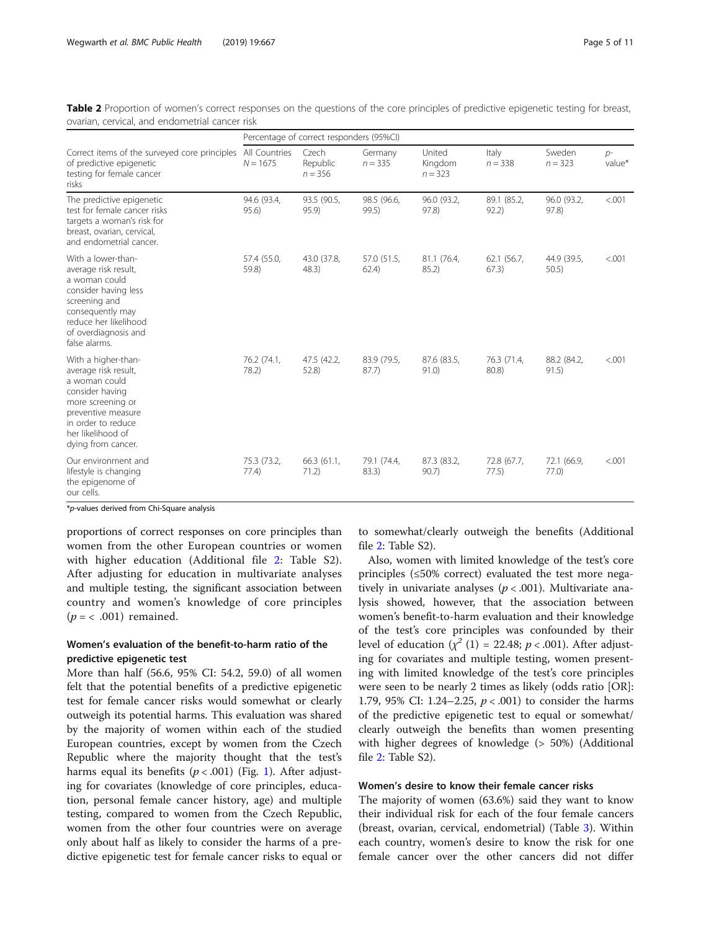<span id="page-4-0"></span>

| Table 2 Proportion of women's correct responses on the questions of the core principles of predictive epigenetic testing for breast,<br>ovarian, cervical, and endometrial cancer risk |                                          |                                |                      |                                |                    |                     |                 |  |  |  |  |
|----------------------------------------------------------------------------------------------------------------------------------------------------------------------------------------|------------------------------------------|--------------------------------|----------------------|--------------------------------|--------------------|---------------------|-----------------|--|--|--|--|
|                                                                                                                                                                                        | Percentage of correct responders (95%CI) |                                |                      |                                |                    |                     |                 |  |  |  |  |
| Correct items of the surveyed core principles All Countries<br>of predictive epigenetic<br>testing for female cancer<br>risks.                                                         | $N = 1675$                               | Czech<br>Republic<br>$n = 356$ | Germany<br>$n = 335$ | United<br>Kingdom<br>$n = 323$ | Italy<br>$n = 338$ | Sweden<br>$n = 323$ | $D^-$<br>value* |  |  |  |  |

Table 2 Proportion of women's correct responses ovarian, cervical, and endometrial cancer risk

| testing for female cancer<br>risks                                                                                                                                                          |                      | $n = 356$            |                      | $n = 323$            |                      |                      |         |
|---------------------------------------------------------------------------------------------------------------------------------------------------------------------------------------------|----------------------|----------------------|----------------------|----------------------|----------------------|----------------------|---------|
| The predictive epigenetic<br>test for female cancer risks<br>targets a woman's risk for<br>breast, ovarian, cervical,<br>and endometrial cancer.                                            | 94.6 (93.4,<br>95.6) | 93.5 (90.5,<br>95.9  | 98.5 (96.6,<br>99.5) | 96.0 (93.2,<br>97.8) | 89.1 (85.2,<br>92.2) | 96.0 (93.2,<br>97.8) | < 0.001 |
| With a lower-than-<br>average risk result,<br>a woman could<br>consider having less<br>screening and<br>consequently may<br>reduce her likelihood<br>of overdiagnosis and<br>false alarms.  | 57.4 (55.0,<br>59.8) | 43.0 (37.8,<br>48.3) | 57.0 (51.5,<br>62.4) | 81.1 (76.4,<br>85.2) | 62.1 (56.7,<br>67.3) | 44.9 (39.5,<br>50.5) | < 0.001 |
| With a higher-than-<br>average risk result,<br>a woman could<br>consider having<br>more screening or<br>preventive measure<br>in order to reduce<br>her likelihood of<br>dying from cancer. | 76.2 (74.1,<br>78.2) | 47.5 (42.2,<br>52.8  | 83.9 (79.5,<br>87.7) | 87.6 (83.5,<br>91.0) | 76.3 (71.4,<br>80.8) | 88.2 (84.2,<br>91.5) | < 0.001 |
| Our environment and<br>lifestyle is changing<br>the epigenome of<br>our cells.                                                                                                              | 75.3 (73.2,<br>77.4) | 66.3 (61.1,<br>71.2) | 79.1 (74.4,<br>83.3) | 87.3 (83.2,<br>90.7) | 72.8 (67.7,<br>77.5) | 72.1 (66.9,<br>77.0) | < .001  |

\*p-values derived from Chi-Square analysis

proportions of correct responses on core principles than women from the other European countries or women with higher education (Additional file [2](#page-9-0): Table S2). After adjusting for education in multivariate analyses and multiple testing, the significant association between country and women's knowledge of core principles  $(p = < .001)$  remained.

## Women's evaluation of the benefit-to-harm ratio of the predictive epigenetic test

More than half (56.6, 95% CI: 54.2, 59.0) of all women felt that the potential benefits of a predictive epigenetic test for female cancer risks would somewhat or clearly outweigh its potential harms. This evaluation was shared by the majority of women within each of the studied European countries, except by women from the Czech Republic where the majority thought that the test's harms equal its benefits ( $p < .001$ ) (Fig. [1\)](#page-5-0). After adjusting for covariates (knowledge of core principles, education, personal female cancer history, age) and multiple testing, compared to women from the Czech Republic, women from the other four countries were on average only about half as likely to consider the harms of a predictive epigenetic test for female cancer risks to equal or

to somewhat/clearly outweigh the benefits (Additional file [2:](#page-9-0) Table S2).

Also, women with limited knowledge of the test's core principles (≤50% correct) evaluated the test more negatively in univariate analyses ( $p < .001$ ). Multivariate analysis showed, however, that the association between women's benefit-to-harm evaluation and their knowledge of the test's core principles was confounded by their level of education  $(\chi^2(1) = 22.48; p < .001)$ . After adjusting for covariates and multiple testing, women presenting with limited knowledge of the test's core principles were seen to be nearly 2 times as likely (odds ratio [OR]: 1.79, 95% CI: 1.24–2.25,  $p < .001$ ) to consider the harms of the predictive epigenetic test to equal or somewhat/ clearly outweigh the benefits than women presenting with higher degrees of knowledge (> 50%) (Additional file [2:](#page-9-0) Table S2).

## Women's desire to know their female cancer risks

The majority of women (63.6%) said they want to know their individual risk for each of the four female cancers (breast, ovarian, cervical, endometrial) (Table [3\)](#page-5-0). Within each country, women's desire to know the risk for one female cancer over the other cancers did not differ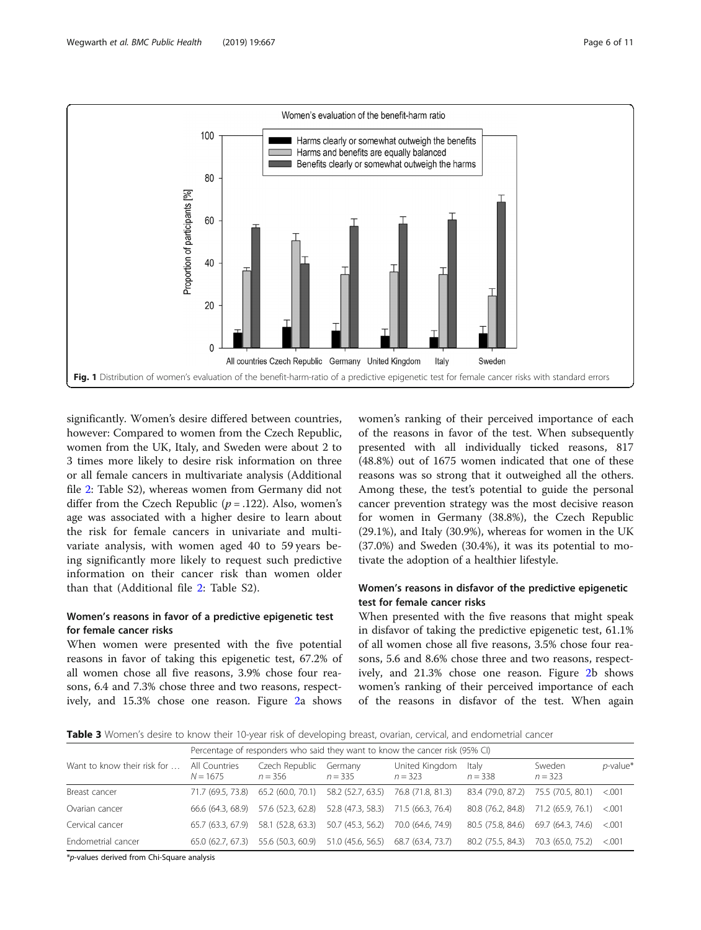<span id="page-5-0"></span>

significantly. Women's desire differed between countries, however: Compared to women from the Czech Republic, women from the UK, Italy, and Sweden were about 2 to 3 times more likely to desire risk information on three or all female cancers in multivariate analysis (Additional file [2](#page-9-0): Table S2), whereas women from Germany did not differ from the Czech Republic ( $p = .122$ ). Also, women's age was associated with a higher desire to learn about the risk for female cancers in univariate and multivariate analysis, with women aged 40 to 59 years being significantly more likely to request such predictive information on their cancer risk than women older than that (Additional file [2:](#page-9-0) Table S2).

## Women's reasons in favor of a predictive epigenetic test for female cancer risks

When women were presented with the five potential reasons in favor of taking this epigenetic test, 67.2% of all women chose all five reasons, 3.9% chose four reasons, 6.4 and 7.3% chose three and two reasons, respectively, and 15.3% chose one reason. Figure [2](#page-6-0)a shows women's ranking of their perceived importance of each of the reasons in favor of the test. When subsequently presented with all individually ticked reasons, 817 (48.8%) out of 1675 women indicated that one of these reasons was so strong that it outweighed all the others. Among these, the test's potential to guide the personal cancer prevention strategy was the most decisive reason for women in Germany (38.8%), the Czech Republic (29.1%), and Italy (30.9%), whereas for women in the UK (37.0%) and Sweden (30.4%), it was its potential to motivate the adoption of a healthier lifestyle.

## Women's reasons in disfavor of the predictive epigenetic test for female cancer risks

When presented with the five reasons that might speak in disfavor of taking the predictive epigenetic test, 61.1% of all women chose all five reasons, 3.5% chose four reasons, 5.6 and 8.6% chose three and two reasons, respectively, and 21.3% chose one reason. Figure [2b](#page-6-0) shows women's ranking of their perceived importance of each of the reasons in disfavor of the test. When again

Table 3 Women's desire to know their 10-year risk of developing breast, ovarian, cervical, and endometrial cancer

|                             | Percentage of responders who said they want to know the cancer risk (95% CI) |                             |                      |                             |                                     |                     |             |  |  |  |
|-----------------------------|------------------------------------------------------------------------------|-----------------------------|----------------------|-----------------------------|-------------------------------------|---------------------|-------------|--|--|--|
| Want to know their risk for | All Countries<br>$N = 1675$                                                  | Czech Republic<br>$n = 356$ | Germany<br>$n = 335$ | United Kingdom<br>$n = 323$ | Italy<br>$n = 338$                  | Sweden<br>$n = 323$ | $p$ -value* |  |  |  |
| Breast cancer               | 71.7 (69.5, 73.8)                                                            | 65.2 (60.0, 70.1)           | 58.2 (52.7, 63.5)    | 76.8 (71.8, 81.3)           | 83.4 (79.0, 87.2) 75.5 (70.5, 80.1) |                     | < 0.001     |  |  |  |
| Ovarian cancer              | 66.6 (64.3, 68.9)                                                            | 57.6 (52.3, 62.8)           | 52.8 (47.3, 58.3)    | 71.5 (66.3, 76.4)           | 80.8 (76.2, 84.8)                   | 71.2 (65.9, 76.1)   | < 0.001     |  |  |  |
| Cervical cancer             | 65.7 (63.3, 67.9)                                                            | 58.1 (52.8, 63.3)           | 50.7 (45.3, 56.2)    | 70.0 (64.6, 74.9)           | 80.5 (75.8, 84.6)                   | 69.7 (64.3, 74.6)   | < 0.001     |  |  |  |
| Endometrial cancer          | 65.0 (62.7, 67.3)                                                            | 55.6 (50.3, 60.9)           | 51.0 (45.6, 56.5)    | 68.7 (63.4, 73.7)           | 80.2 (75.5, 84.3)                   | 70.3 (65.0, 75.2)   | < 0.001     |  |  |  |

\*p-values derived from Chi-Square analysis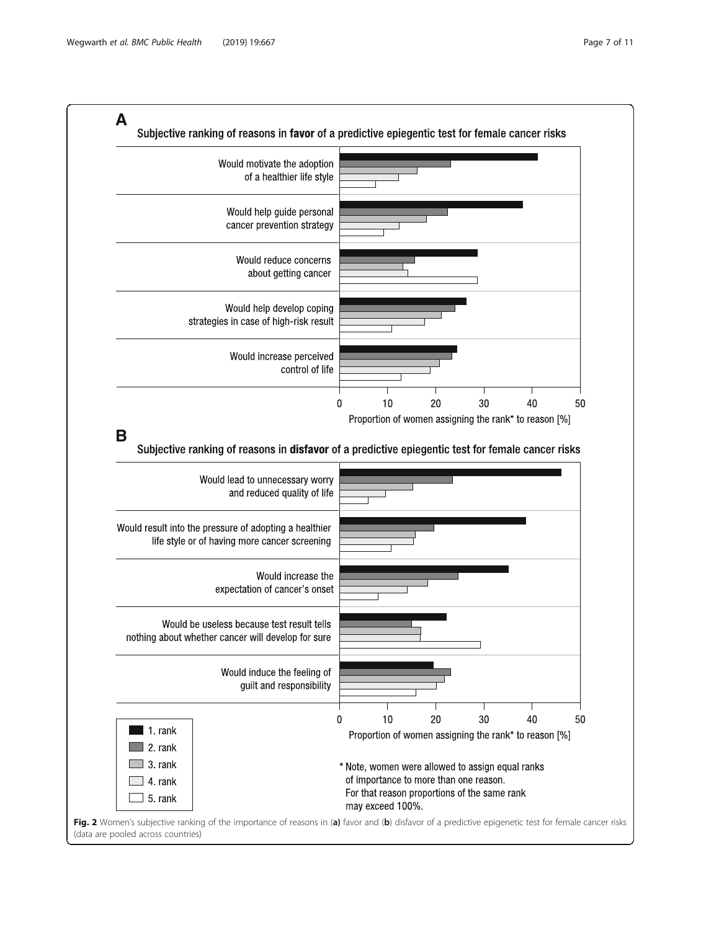<span id="page-6-0"></span>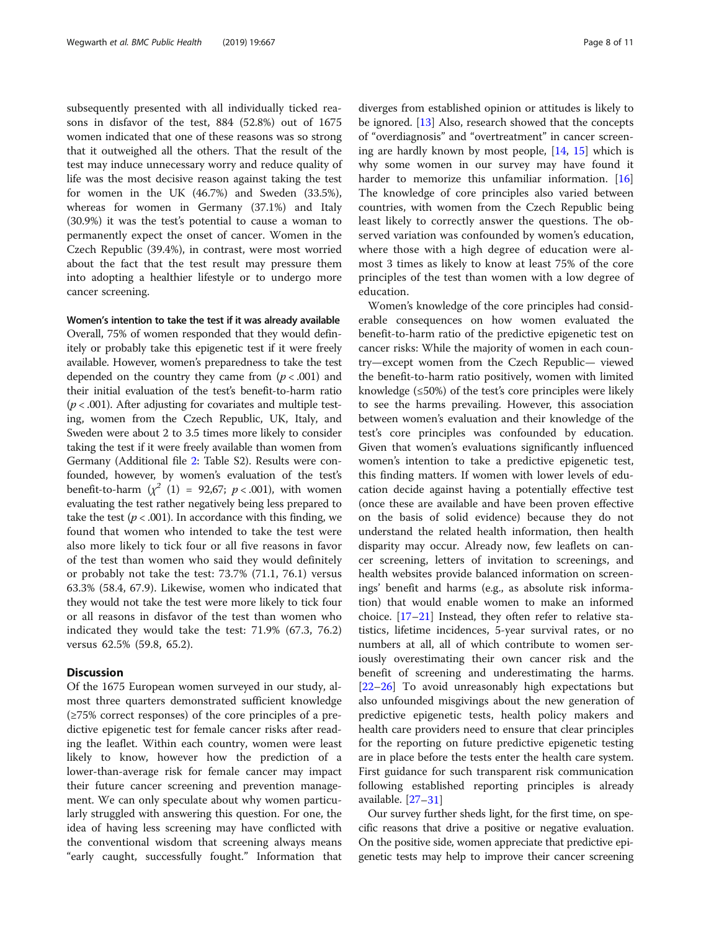subsequently presented with all individually ticked reasons in disfavor of the test, 884 (52.8%) out of 1675 women indicated that one of these reasons was so strong that it outweighed all the others. That the result of the test may induce unnecessary worry and reduce quality of life was the most decisive reason against taking the test for women in the UK (46.7%) and Sweden (33.5%), whereas for women in Germany (37.1%) and Italy (30.9%) it was the test's potential to cause a woman to permanently expect the onset of cancer. Women in the Czech Republic (39.4%), in contrast, were most worried about the fact that the test result may pressure them into adopting a healthier lifestyle or to undergo more cancer screening.

## Women's intention to take the test if it was already available

Overall, 75% of women responded that they would definitely or probably take this epigenetic test if it were freely available. However, women's preparedness to take the test depended on the country they came from  $(p < .001)$  and their initial evaluation of the test's benefit-to-harm ratio  $(p < .001)$ . After adjusting for covariates and multiple testing, women from the Czech Republic, UK, Italy, and Sweden were about 2 to 3.5 times more likely to consider taking the test if it were freely available than women from Germany (Additional file [2](#page-9-0): Table S2). Results were confounded, however, by women's evaluation of the test's benefit-to-harm  $(\chi^2)(1) = 92,67; p < .001)$ , with women evaluating the test rather negatively being less prepared to take the test ( $p < .001$ ). In accordance with this finding, we found that women who intended to take the test were also more likely to tick four or all five reasons in favor of the test than women who said they would definitely or probably not take the test: 73.7% (71.1, 76.1) versus 63.3% (58.4, 67.9). Likewise, women who indicated that they would not take the test were more likely to tick four or all reasons in disfavor of the test than women who indicated they would take the test: 71.9% (67.3, 76.2) versus 62.5% (59.8, 65.2).

## **Discussion**

Of the 1675 European women surveyed in our study, almost three quarters demonstrated sufficient knowledge (≥75% correct responses) of the core principles of a predictive epigenetic test for female cancer risks after reading the leaflet. Within each country, women were least likely to know, however how the prediction of a lower-than-average risk for female cancer may impact their future cancer screening and prevention management. We can only speculate about why women particularly struggled with answering this question. For one, the idea of having less screening may have conflicted with the conventional wisdom that screening always means "early caught, successfully fought." Information that diverges from established opinion or attitudes is likely to be ignored. [[13\]](#page-9-0) Also, research showed that the concepts of "overdiagnosis" and "overtreatment" in cancer screening are hardly known by most people, [[14](#page-9-0), [15](#page-9-0)] which is why some women in our survey may have found it harder to memorize this unfamiliar information. [[16](#page-10-0)] The knowledge of core principles also varied between countries, with women from the Czech Republic being least likely to correctly answer the questions. The observed variation was confounded by women's education, where those with a high degree of education were almost 3 times as likely to know at least 75% of the core principles of the test than women with a low degree of education.

Women's knowledge of the core principles had considerable consequences on how women evaluated the benefit-to-harm ratio of the predictive epigenetic test on cancer risks: While the majority of women in each country—except women from the Czech Republic— viewed the benefit-to-harm ratio positively, women with limited knowledge  $(\leq 50\%)$  of the test's core principles were likely to see the harms prevailing. However, this association between women's evaluation and their knowledge of the test's core principles was confounded by education. Given that women's evaluations significantly influenced women's intention to take a predictive epigenetic test, this finding matters. If women with lower levels of education decide against having a potentially effective test (once these are available and have been proven effective on the basis of solid evidence) because they do not understand the related health information, then health disparity may occur. Already now, few leaflets on cancer screening, letters of invitation to screenings, and health websites provide balanced information on screenings' benefit and harms (e.g., as absolute risk information) that would enable women to make an informed choice. [\[17](#page-10-0)–[21\]](#page-10-0) Instead, they often refer to relative statistics, lifetime incidences, 5-year survival rates, or no numbers at all, all of which contribute to women seriously overestimating their own cancer risk and the benefit of screening and underestimating the harms. [[22](#page-10-0)–[26](#page-10-0)] To avoid unreasonably high expectations but also unfounded misgivings about the new generation of predictive epigenetic tests, health policy makers and health care providers need to ensure that clear principles for the reporting on future predictive epigenetic testing are in place before the tests enter the health care system. First guidance for such transparent risk communication following established reporting principles is already available. [[27](#page-10-0)–[31](#page-10-0)]

Our survey further sheds light, for the first time, on specific reasons that drive a positive or negative evaluation. On the positive side, women appreciate that predictive epigenetic tests may help to improve their cancer screening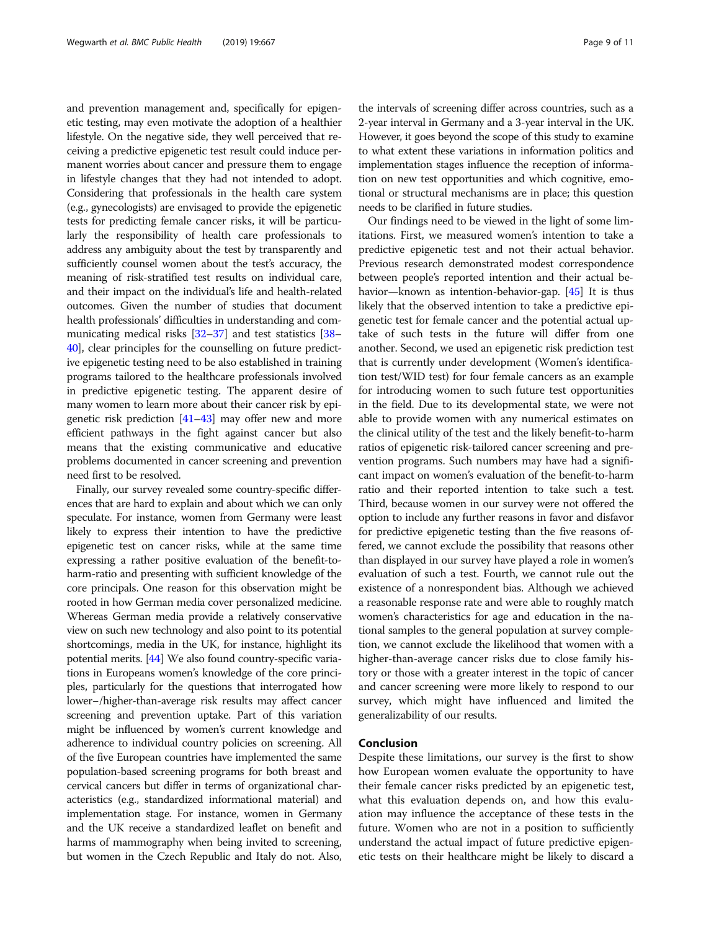and prevention management and, specifically for epigenetic testing, may even motivate the adoption of a healthier lifestyle. On the negative side, they well perceived that receiving a predictive epigenetic test result could induce permanent worries about cancer and pressure them to engage in lifestyle changes that they had not intended to adopt. Considering that professionals in the health care system (e.g., gynecologists) are envisaged to provide the epigenetic tests for predicting female cancer risks, it will be particularly the responsibility of health care professionals to address any ambiguity about the test by transparently and sufficiently counsel women about the test's accuracy, the meaning of risk-stratified test results on individual care, and their impact on the individual's life and health-related outcomes. Given the number of studies that document health professionals' difficulties in understanding and communicating medical risks [[32](#page-10-0)–[37\]](#page-10-0) and test statistics [\[38](#page-10-0)– [40](#page-10-0)], clear principles for the counselling on future predictive epigenetic testing need to be also established in training programs tailored to the healthcare professionals involved in predictive epigenetic testing. The apparent desire of many women to learn more about their cancer risk by epigenetic risk prediction [\[41](#page-10-0)–[43](#page-10-0)] may offer new and more efficient pathways in the fight against cancer but also means that the existing communicative and educative problems documented in cancer screening and prevention need first to be resolved.

Finally, our survey revealed some country-specific differences that are hard to explain and about which we can only speculate. For instance, women from Germany were least likely to express their intention to have the predictive epigenetic test on cancer risks, while at the same time expressing a rather positive evaluation of the benefit-toharm-ratio and presenting with sufficient knowledge of the core principals. One reason for this observation might be rooted in how German media cover personalized medicine. Whereas German media provide a relatively conservative view on such new technology and also point to its potential shortcomings, media in the UK, for instance, highlight its potential merits. [[44](#page-10-0)] We also found country-specific variations in Europeans women's knowledge of the core principles, particularly for the questions that interrogated how lower−/higher-than-average risk results may affect cancer screening and prevention uptake. Part of this variation might be influenced by women's current knowledge and adherence to individual country policies on screening. All of the five European countries have implemented the same population-based screening programs for both breast and cervical cancers but differ in terms of organizational characteristics (e.g., standardized informational material) and implementation stage. For instance, women in Germany and the UK receive a standardized leaflet on benefit and harms of mammography when being invited to screening, but women in the Czech Republic and Italy do not. Also,

the intervals of screening differ across countries, such as a 2-year interval in Germany and a 3-year interval in the UK. However, it goes beyond the scope of this study to examine to what extent these variations in information politics and implementation stages influence the reception of information on new test opportunities and which cognitive, emotional or structural mechanisms are in place; this question needs to be clarified in future studies.

Our findings need to be viewed in the light of some limitations. First, we measured women's intention to take a predictive epigenetic test and not their actual behavior. Previous research demonstrated modest correspondence between people's reported intention and their actual behavior—known as intention-behavior-gap. [\[45\]](#page-10-0) It is thus likely that the observed intention to take a predictive epigenetic test for female cancer and the potential actual uptake of such tests in the future will differ from one another. Second, we used an epigenetic risk prediction test that is currently under development (Women's identification test/WID test) for four female cancers as an example for introducing women to such future test opportunities in the field. Due to its developmental state, we were not able to provide women with any numerical estimates on the clinical utility of the test and the likely benefit-to-harm ratios of epigenetic risk-tailored cancer screening and prevention programs. Such numbers may have had a significant impact on women's evaluation of the benefit-to-harm ratio and their reported intention to take such a test. Third, because women in our survey were not offered the option to include any further reasons in favor and disfavor for predictive epigenetic testing than the five reasons offered, we cannot exclude the possibility that reasons other than displayed in our survey have played a role in women's evaluation of such a test. Fourth, we cannot rule out the existence of a nonrespondent bias. Although we achieved a reasonable response rate and were able to roughly match women's characteristics for age and education in the national samples to the general population at survey completion, we cannot exclude the likelihood that women with a higher-than-average cancer risks due to close family history or those with a greater interest in the topic of cancer and cancer screening were more likely to respond to our survey, which might have influenced and limited the generalizability of our results.

## Conclusion

Despite these limitations, our survey is the first to show how European women evaluate the opportunity to have their female cancer risks predicted by an epigenetic test, what this evaluation depends on, and how this evaluation may influence the acceptance of these tests in the future. Women who are not in a position to sufficiently understand the actual impact of future predictive epigenetic tests on their healthcare might be likely to discard a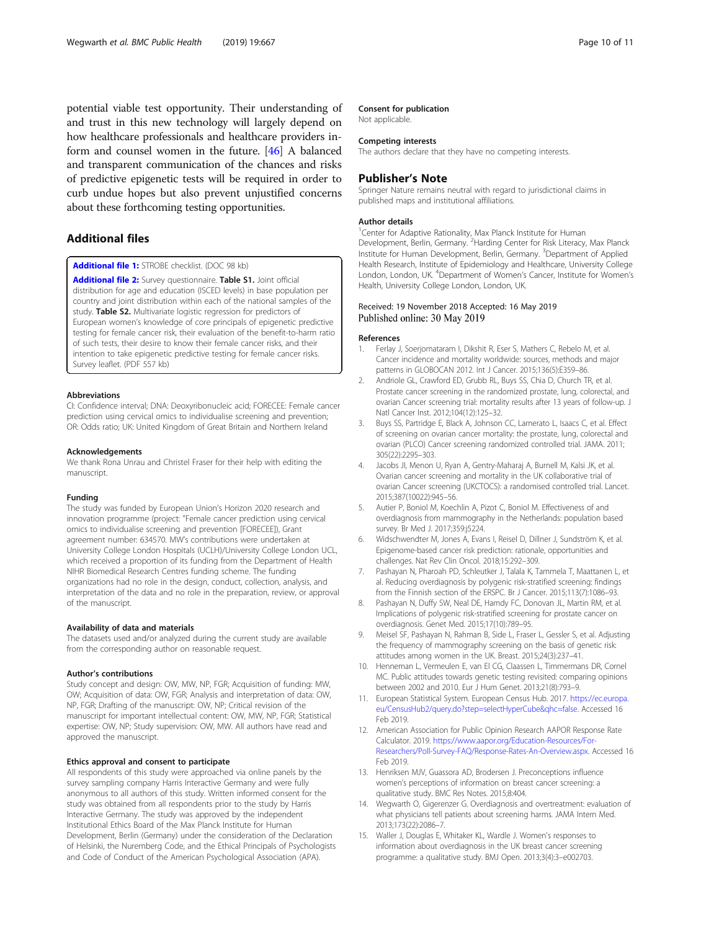<span id="page-9-0"></span>potential viable test opportunity. Their understanding of and trust in this new technology will largely depend on how healthcare professionals and healthcare providers inform and counsel women in the future. [[46\]](#page-10-0) A balanced and transparent communication of the chances and risks of predictive epigenetic tests will be required in order to curb undue hopes but also prevent unjustified concerns about these forthcoming testing opportunities.

## Additional files

[Additional file 1:](https://doi.org/10.1186/s12889-019-6994-8) STROBE checklist. (DOC 98 kb)

[Additional file 2:](https://doi.org/10.1186/s12889-019-6994-8) Survey questionnaire. Table S1. Joint official distribution for age and education (ISCED levels) in base population per country and joint distribution within each of the national samples of the study. Table S2. Multivariate logistic regression for predictors of European women's knowledge of core principals of epigenetic predictive testing for female cancer risk, their evaluation of the benefit-to-harm ratio of such tests, their desire to know their female cancer risks, and their intention to take epigenetic predictive testing for female cancer risks. Survey leaflet. (PDF 557 kb)

#### Abbreviations

CI: Confidence interval; DNA: Deoxyribonucleic acid; FORECEE: Female cancer prediction using cervical omics to individualise screening and prevention; OR: Odds ratio; UK: United Kingdom of Great Britain and Northern Ireland

#### Acknowledgements

We thank Rona Unrau and Christel Fraser for their help with editing the manuscript.

#### Funding

The study was funded by European Union's Horizon 2020 research and innovation programme (project: "Female cancer prediction using cervical omics to individualise screening and prevention [FORECEE]), Grant agreement number: 634570. MW's contributions were undertaken at University College London Hospitals (UCLH)/University College London UCL, which received a proportion of its funding from the Department of Health NIHR Biomedical Research Centres funding scheme. The funding organizations had no role in the design, conduct, collection, analysis, and interpretation of the data and no role in the preparation, review, or approval of the manuscript.

#### Availability of data and materials

The datasets used and/or analyzed during the current study are available from the corresponding author on reasonable request.

#### Author's contributions

Study concept and design: OW, MW, NP, FGR; Acquisition of funding: MW, OW; Acquisition of data: OW, FGR; Analysis and interpretation of data: OW, NP, FGR; Drafting of the manuscript: OW, NP; Critical revision of the manuscript for important intellectual content: OW, MW, NP, FGR; Statistical expertise: OW, NP; Study supervision: OW, MW. All authors have read and approved the manuscript.

#### Ethics approval and consent to participate

All respondents of this study were approached via online panels by the survey sampling company Harris Interactive Germany and were fully anonymous to all authors of this study. Written informed consent for the study was obtained from all respondents prior to the study by Harris Interactive Germany. The study was approved by the independent Institutional Ethics Board of the Max Planck Institute for Human Development, Berlin (Germany) under the consideration of the Declaration of Helsinki, the Nuremberg Code, and the Ethical Principals of Psychologists and Code of Conduct of the American Psychological Association (APA).

## Consent for publication

Not applicable.

#### Competing interests

The authors declare that they have no competing interests.

## Publisher's Note

Springer Nature remains neutral with regard to jurisdictional claims in published maps and institutional affiliations.

#### Author details

<sup>1</sup> Center for Adaptive Rationality, Max Planck Institute for Human Development, Berlin, Germany. <sup>2</sup> Harding Center for Risk Literacy, Max Planck Institute for Human Development, Berlin, Germany. <sup>3</sup>Department of Applied Health Research, Institute of Epidemiology and Healthcare, University College London, London, UK. <sup>4</sup>Department of Women's Cancer, Institute for Women's Health, University College London, London, UK.

## Received: 19 November 2018 Accepted: 16 May 2019 Published online: 30 May 2019

## References

- 1. Ferlay J, Soerjomataram I, Dikshit R, Eser S, Mathers C, Rebelo M, et al. Cancer incidence and mortality worldwide: sources, methods and major patterns in GLOBOCAN 2012. Int J Cancer. 2015;136(5):E359–86.
- 2. Andriole GL, Crawford ED, Grubb RL, Buys SS, Chia D, Church TR, et al. Prostate cancer screening in the randomized prostate, lung, colorectal, and ovarian Cancer screening trial: mortality results after 13 years of follow-up. J Natl Cancer Inst. 2012;104(12):125–32.
- 3. Buys SS, Partridge E, Black A, Johnson CC, Lamerato L, Isaacs C, et al. Effect of screening on ovarian cancer mortality: the prostate, lung, colorectal and ovarian (PLCO) Cancer screening randomized controlled trial. JAMA. 2011; 305(22):2295–303.
- Jacobs JI, Menon U, Ryan A, Gentry-Maharaj A, Burnell M, Kalsi JK, et al. Ovarian cancer screening and mortality in the UK collaborative trial of ovarian Cancer screening (UKCTOCS): a randomised controlled trial. Lancet. 2015;387(10022):945–56.
- 5. Autier P, Boniol M, Koechlin A, Pizot C, Boniol M. Effectiveness of and overdiagnosis from mammography in the Netherlands: population based survey. Br Med J. 2017;359:j5224.
- 6. Widschwendter M, Jones A, Evans I, Reisel D, Dillner J, Sundström K, et al. Epigenome-based cancer risk prediction: rationale, opportunities and challenges. Nat Rev Clin Oncol. 2018;15:292–309.
- 7. Pashayan N, Pharoah PD, Schleutker J, Talala K, Tammela T, Maattanen L, et al. Reducing overdiagnosis by polygenic risk-stratified screening: findings from the Finnish section of the ERSPC. Br J Cancer. 2015;113(7):1086–93.
- 8. Pashayan N, Duffy SW, Neal DE, Hamdy FC, Donovan JL, Martin RM, et al. Implications of polygenic risk-stratified screening for prostate cancer on overdiagnosis. Genet Med. 2015;17(10):789–95.
- 9. Meisel SF, Pashayan N, Rahman B, Side L, Fraser L, Gessler S, et al. Adjusting the frequency of mammography screening on the basis of genetic risk: attitudes among women in the UK. Breast. 2015;24(3):237–41.
- 10. Henneman L, Vermeulen E, van El CG, Claassen L, Timmermans DR, Cornel MC. Public attitudes towards genetic testing revisited: comparing opinions between 2002 and 2010. Eur J Hum Genet. 2013;21(8):793–9.
- 11. European Statistical System. European Census Hub. 2017. [https://ec.europa.](https://ec.europa.eu/CensusHub2/query.do?step=selectHyperCube&qhc=false) [eu/CensusHub2/query.do?step=selectHyperCube&qhc=false.](https://ec.europa.eu/CensusHub2/query.do?step=selectHyperCube&qhc=false) Accessed 16 Feb 2019.
- 12. American Association for Public Opinion Research AAPOR Response Rate Calculator. 2019. [https://www.aapor.org/Education-Resources/For-](https://www.aapor.org/Education-Resources/For-Researchers/Poll-Survey-FAQ/Response-Rates-An-Overview.aspx)[Researchers/Poll-Survey-FAQ/Response-Rates-An-Overview.aspx.](https://www.aapor.org/Education-Resources/For-Researchers/Poll-Survey-FAQ/Response-Rates-An-Overview.aspx) Accessed 16 Feb 2019.
- 13. Henriksen MJV, Guassora AD, Brodersen J. Preconceptions influence women's perceptions of information on breast cancer screening: a qualitative study. BMC Res Notes. 2015;8:404.
- 14. Wegwarth O, Gigerenzer G. Overdiagnosis and overtreatment: evaluation of what physicians tell patients about screening harms. JAMA Intern Med. 2013;173(22):2086–7.
- 15. Waller J, Douglas E, Whitaker KL, Wardle J. Women's responses to information about overdiagnosis in the UK breast cancer screening programme: a qualitative study. BMJ Open. 2013;3(4):3–e002703.